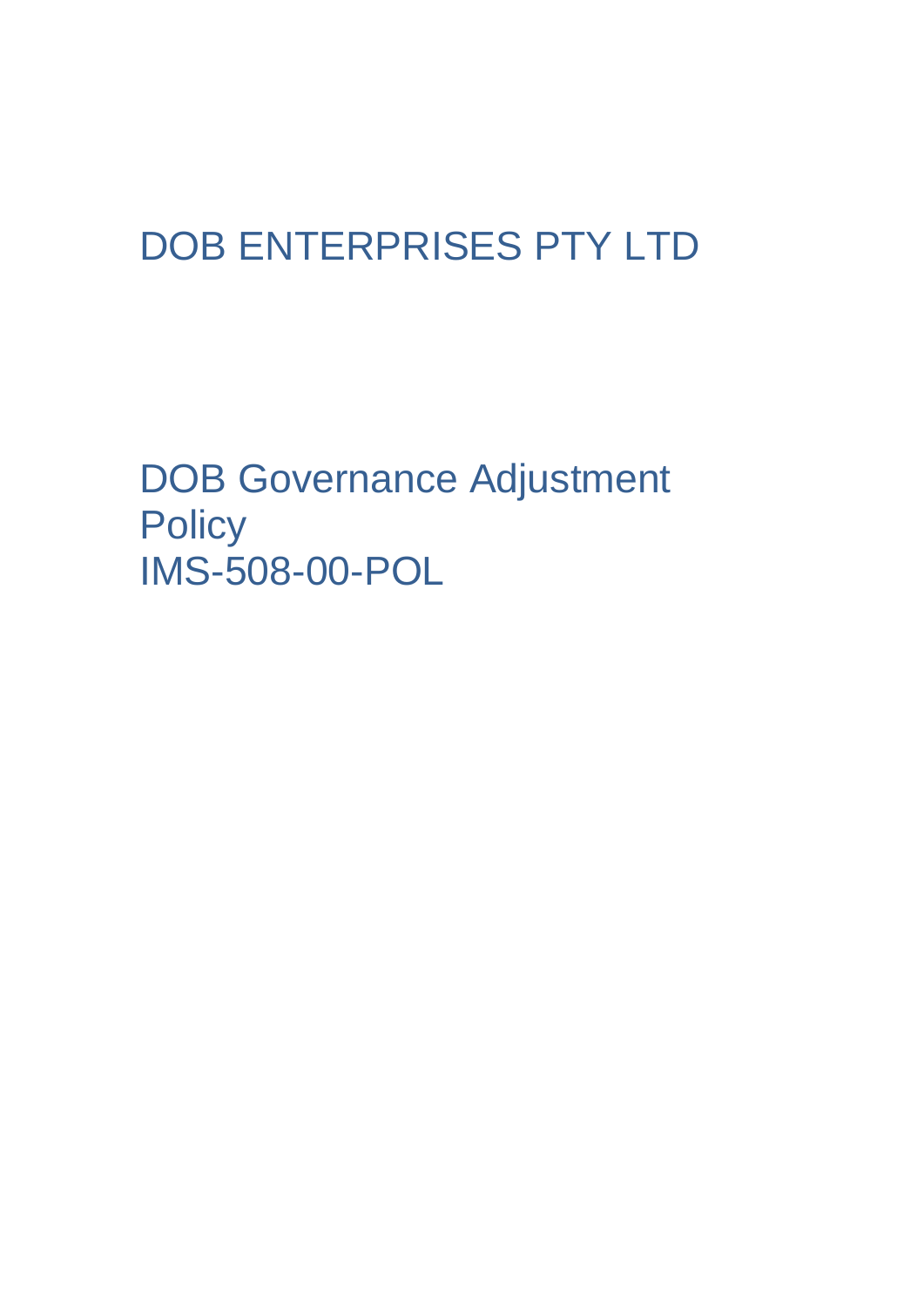# DOB ENTERPRISES PTY LTD

DOB Governance Adjustment **Policy** IMS-508-00-POL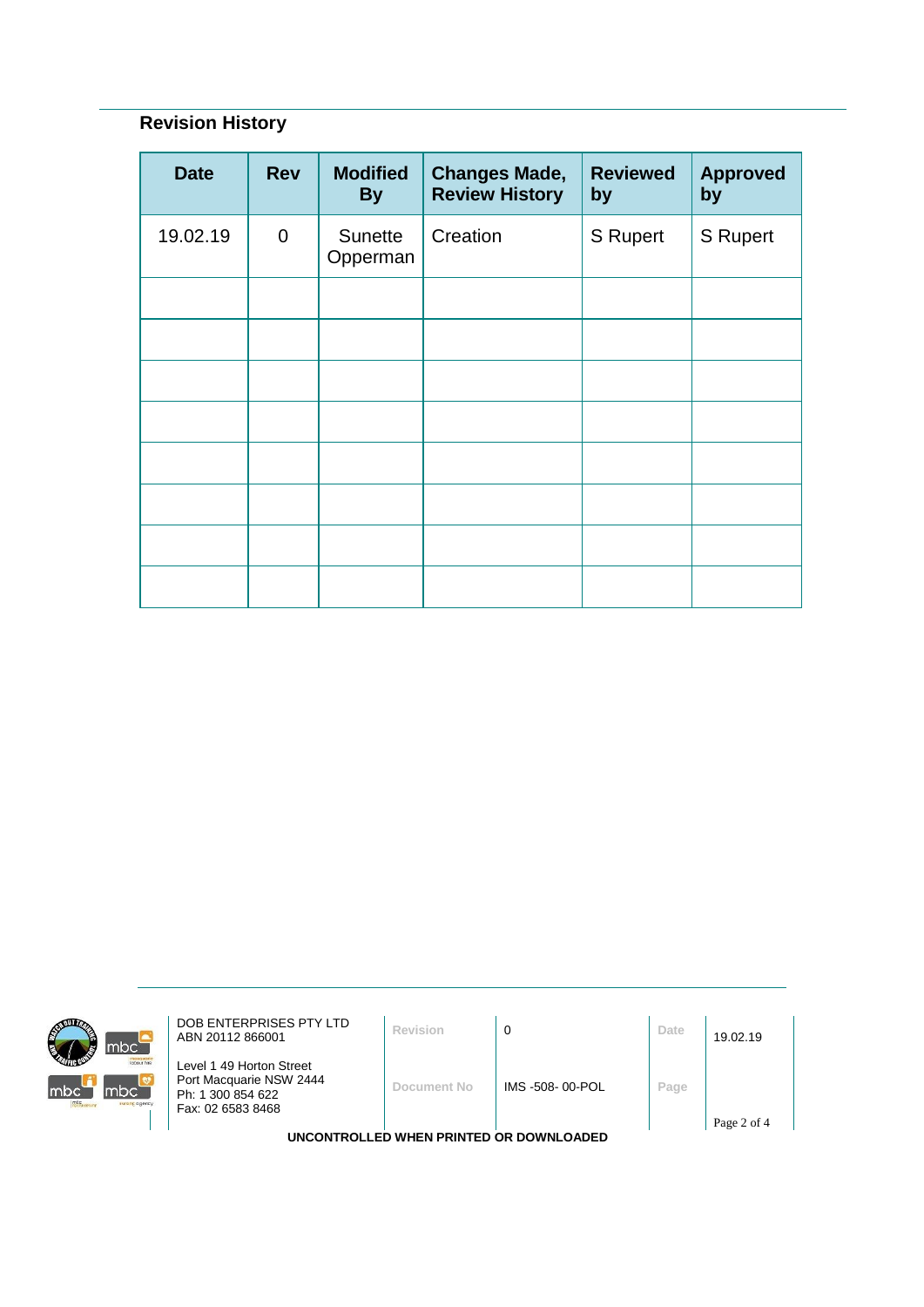## **Revision History**

| <b>Date</b> | <b>Rev</b>     | <b>Modified</b><br><b>By</b> | <b>Changes Made,</b><br><b>Review History</b> | <b>Reviewed</b><br>by | <b>Approved</b><br>by |
|-------------|----------------|------------------------------|-----------------------------------------------|-----------------------|-----------------------|
| 19.02.19    | $\overline{0}$ | Sunette<br>Opperman          | Creation                                      | S Rupert              | S Rupert              |
|             |                |                              |                                               |                       |                       |
|             |                |                              |                                               |                       |                       |
|             |                |                              |                                               |                       |                       |
|             |                |                              |                                               |                       |                       |
|             |                |                              |                                               |                       |                       |
|             |                |                              |                                               |                       |                       |
|             |                |                              |                                               |                       |                       |
|             |                |                              |                                               |                       |                       |



**DOB ENTERPRISES PTY LTD**<br>ABN 20112 866001 **Revision 0 D Date** 19.02.19

Level 1 49 Horton Street Port Macquarie NSW 2444 Ph: 1 300 854 622 Fax: 02 6583 8468

**Document No** IMS -508- 00-POL **Page**

**UNCONTROLLED WHEN PRINTED OR DOWNLOADED**

Page 2 of 4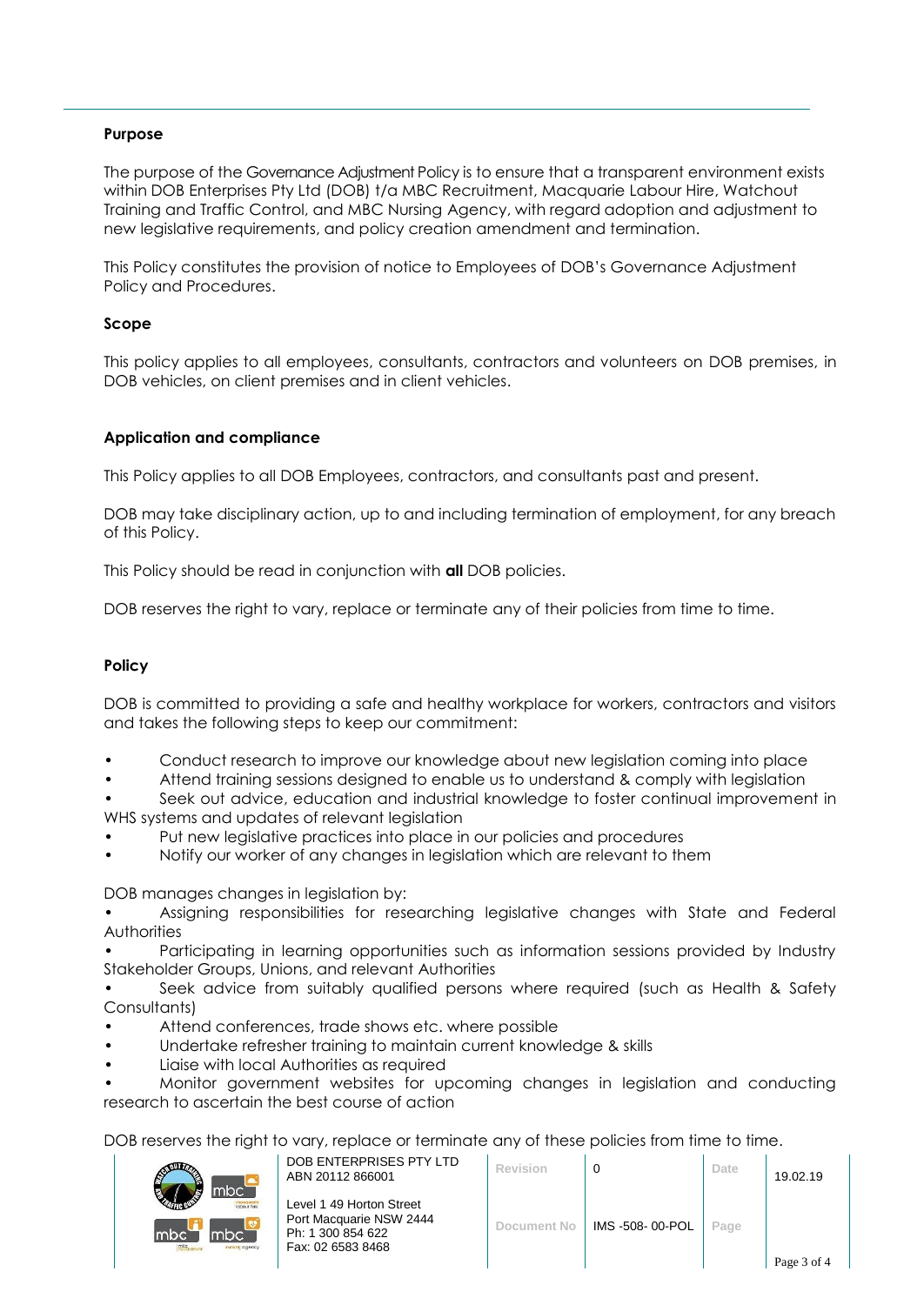#### **Purpose**

The purpose of the Governance Adjustment Policy is to ensure that a transparent environment exists within DOB Enterprises Pty Ltd (DOB) t/a MBC Recruitment, Macquarie Labour Hire, Watchout Training and Traffic Control, and MBC Nursing Agency, with regard adoption and adjustment to new legislative requirements, and policy creation amendment and termination.

This Policy constitutes the provision of notice to Employees of DOB's Governance Adjustment Policy and Procedures.

#### **Scope**

This policy applies to all employees, consultants, contractors and volunteers on DOB premises, in DOB vehicles, on client premises and in client vehicles.

#### **Application and compliance**

This Policy applies to all DOB Employees, contractors, and consultants past and present.

DOB may take disciplinary action, up to and including termination of employment, for any breach of this Policy.

This Policy should be read in conjunction with **all** DOB policies.

DOB reserves the right to vary, replace or terminate any of their policies from time to time.

### **Policy**

DOB is committed to providing a safe and healthy workplace for workers, contractors and visitors and takes the following steps to keep our commitment:

- Conduct research to improve our knowledge about new legislation coming into place
- Attend training sessions designed to enable us to understand & comply with legislation

Seek out advice, education and industrial knowledge to foster continual improvement in WHS systems and updates of relevant leaislation

- Put new legislative practices into place in our policies and procedures
- Notify our worker of any changes in legislation which are relevant to them

DOB manages changes in legislation by:

• Assigning responsibilities for researching legislative changes with State and Federal **Authorities** 

• Participating in learning opportunities such as information sessions provided by Industry Stakeholder Groups, Unions, and relevant Authorities

• Seek advice from suitably qualified persons where required (such as Health & Safety Consultants)

- Attend conferences, trade shows etc. where possible
- Undertake refresher training to maintain current knowledge & skills
- Liaise with local Authorities as required

• Monitor government websites for upcoming changes in legislation and conducting research to ascertain the best course of action

DOB reserves the right to vary, replace or terminate any of these policies from time to time.

| ₿<br>mbc`                                           | DOB ENTERPRISES PTY LTD<br>ABN 20112 866001                                                   | Revision    |                 | Date | 19.02.19    |
|-----------------------------------------------------|-----------------------------------------------------------------------------------------------|-------------|-----------------|------|-------------|
| macquarte<br>mbc<br>mbc.<br>$m_c$<br>sursing agency | Level 1 49 Horton Street<br>Port Macquarie NSW 2444<br>Ph: 1 300 854 622<br>Fax: 02 6583 8468 | Document No | IMS -508-00-POL | Page |             |
|                                                     |                                                                                               |             |                 |      | Page 3 of 4 |